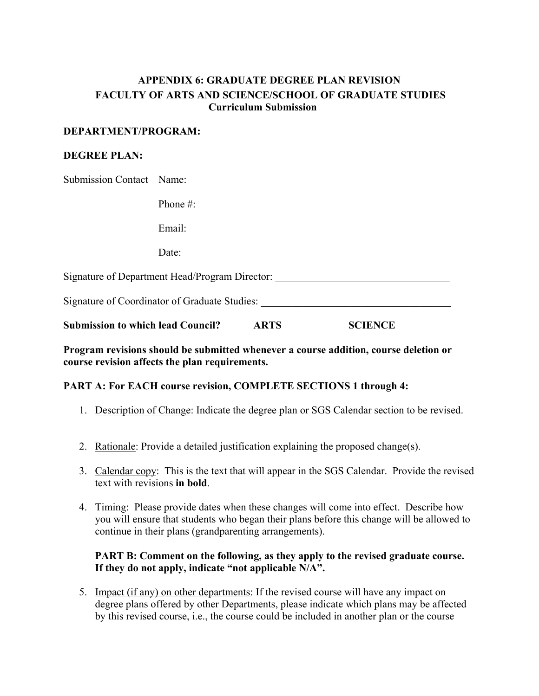# **APPENDIX 6: GRADUATE DEGREE PLAN REVISION FACULTY OF ARTS AND SCIENCE/SCHOOL OF GRADUATE STUDIES Curriculum Submission**

### **DEPARTMENT/PROGRAM:**

### **DEGREE PLAN:**

Submission Contact Name:

Phone #:

Email:

Date:

Signature of Department Head/Program Director: \_\_\_\_\_\_\_\_\_\_\_\_\_\_\_\_\_\_\_\_\_\_\_\_\_\_\_\_\_\_\_\_\_

Signature of Coordinator of Graduate Studies:

| <b>Submission to which lead Council?</b> | ARTS | <b>SCIENCE</b> |
|------------------------------------------|------|----------------|
|                                          |      |                |

**Program revisions should be submitted whenever a course addition, course deletion or course revision affects the plan requirements.** 

### **PART A: For EACH course revision, COMPLETE SECTIONS 1 through 4:**

- 1. Description of Change: Indicate the degree plan or SGS Calendar section to be revised.
- 2. Rationale: Provide a detailed justification explaining the proposed change(s).
- 3. Calendar copy: This is the text that will appear in the SGS Calendar. Provide the revised text with revisions **in bold**.
- 4. Timing: Please provide dates when these changes will come into effect. Describe how you will ensure that students who began their plans before this change will be allowed to continue in their plans (grandparenting arrangements).

## **PART B: Comment on the following, as they apply to the revised graduate course. If they do not apply, indicate "not applicable N/A".**

5. Impact (if any) on other departments: If the revised course will have any impact on degree plans offered by other Departments, please indicate which plans may be affected by this revised course, i.e., the course could be included in another plan or the course